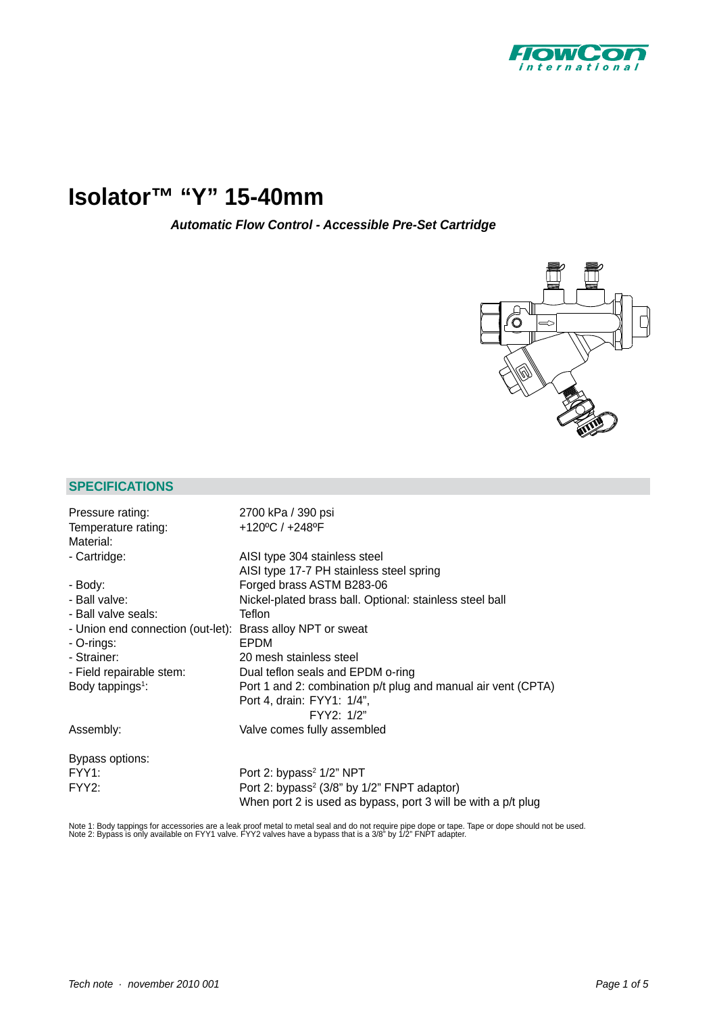

# **[Isolator™ "Y"](http://planetaklimata.com.ua/catalog/lineup/?goodsid=575&path=root-22-46-140-575) 15-40mm**

*Automatic Flow Control - Accessible Pre-Set Cartridge*



## **SPECIFICATIONS**

| Pressure rating:                                           | 2700 kPa / 390 psi                                            |
|------------------------------------------------------------|---------------------------------------------------------------|
| Temperature rating:                                        | +120°C / +248°F                                               |
| Material:                                                  |                                                               |
| - Cartridge:                                               | AISI type 304 stainless steel                                 |
|                                                            | AISI type 17-7 PH stainless steel spring                      |
| - Body:                                                    | Forged brass ASTM B283-06                                     |
| - Ball valve:                                              | Nickel-plated brass ball. Optional: stainless steel ball      |
| - Ball valve seals:                                        | Teflon                                                        |
| - Union end connection (out-let): Brass alloy NPT or sweat |                                                               |
| - O-rings:                                                 | EPDM                                                          |
| - Strainer:                                                | 20 mesh stainless steel                                       |
| - Field repairable stem:                                   | Dual teflon seals and EPDM o-ring                             |
| Body tappings <sup>1</sup> :                               | Port 1 and 2: combination p/t plug and manual air vent (CPTA) |
|                                                            | Port 4, drain: FYY1: 1/4",                                    |
|                                                            | FYY2: 1/2"                                                    |
| Assembly:                                                  | Valve comes fully assembled                                   |
| Bypass options:                                            |                                                               |
| FYY1:                                                      | Port 2: bypass <sup>2</sup> 1/2" NPT                          |
| FYY <sub>2</sub> :                                         | Port 2: bypass <sup>2</sup> (3/8" by 1/2" FNPT adaptor)       |
|                                                            | When port 2 is used as bypass, port 3 will be with a p/t plug |

Note 1: Body tappings for accessories are a leak proof metal to metal seal and do not require pipe dope or tape. Tape or dope should not be used.<br>Note 2: Bypass is only available on FYY1 valve. FYY2 valves have a bypass th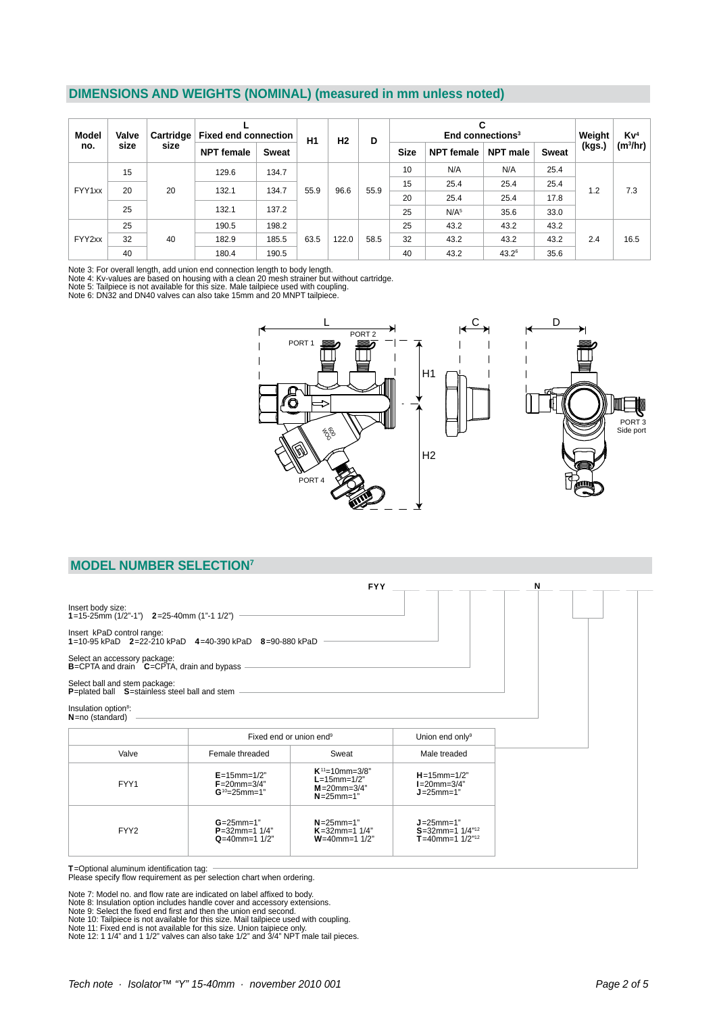## **DIMENSIONS AND WEIGHTS (NOMINAL) (measured in mm unless noted)**

| Model  | Valve | Cartridge | <b>Fixed end connection</b> |              | H1   | H <sub>2</sub> | D    | End connections <sup>3</sup> |                  |          |              | Weight               | Kv <sup>4</sup>      |
|--------|-------|-----------|-----------------------------|--------------|------|----------------|------|------------------------------|------------------|----------|--------------|----------------------|----------------------|
| no.    | size  | size      | <b>NPT</b> female           | <b>Sweat</b> |      |                |      | <b>Size</b>                  | NPT female       | NPT male | <b>Sweat</b> | (kgs.)<br>1.2<br>2.4 | (m <sup>3</sup> /hr) |
|        | 15    |           | 129.6                       | 134.7        | 55.9 | 96.6           | 55.9 | 10                           | N/A              | N/A      | 25.4         |                      | 7.3                  |
|        |       |           |                             |              |      |                |      | 15                           | 25.4             | 25.4     | 25.4         |                      |                      |
| FYY1xx | 20    | 20        | 132.1                       | 134.7        |      |                |      | 20                           | 25.4             | 25.4     | 17.8         |                      |                      |
|        | 25    |           | 132.1                       | 137.2        |      |                |      | 25                           | N/A <sup>5</sup> | 35.6     | 33.0         |                      |                      |
| FYY2xx | 25    |           | 190.5                       | 198.2        |      |                | 58.5 | 25                           | 43.2             | 43.2     | 43.2         |                      | 16.5                 |
|        | 32    | 40        | 182.9                       | 185.5        | 63.5 | 122.0          |      | 32                           | 43.2             | 43.2     | 43.2         |                      |                      |
|        | 40    |           | 180.4                       | 190.5        |      |                |      | 40                           | 43.2             | $43.2^6$ | 35.6         |                      |                      |

Note 3: For overall length, add union end connection length to body length.

Note 4: Kv-values are based on housing with a clean 20 mesh strainer but without cartridge.<br>Note 5: Tailpiece is not available for this size. Male tailpiece used with coupling.<br>Note 6: DN32 and DN40 valves can also take 15



#### **MODEL NUMBER SELECTION7**

|                                                                                            |                                                                   | <b>FYY</b>                                                                        |                                                                                | N |
|--------------------------------------------------------------------------------------------|-------------------------------------------------------------------|-----------------------------------------------------------------------------------|--------------------------------------------------------------------------------|---|
| Insert body size:<br>1=15-25mm $(1/2" - 1")$ 2=25-40mm $(1" - 1 1/2")$                     |                                                                   |                                                                                   |                                                                                |   |
| Insert kPaD control range:<br>1=10-95 kPaD $2=22-210$ kPaD $4=40-390$ kPaD $8=90-880$ kPaD |                                                                   |                                                                                   |                                                                                |   |
| Select an accessory package:<br>B=CPTA and drain C=CPTA, drain and bypass                  |                                                                   |                                                                                   |                                                                                |   |
| Select ball and stem package:<br>P=plated ball S=stainless steel ball and stem             |                                                                   |                                                                                   |                                                                                |   |
| Insulation option <sup>8</sup> :<br>N=no (standard)                                        |                                                                   |                                                                                   |                                                                                |   |
|                                                                                            | Fixed end or union end <sup>9</sup>                               |                                                                                   | Union end only <sup>9</sup>                                                    |   |
| Valve                                                                                      | Female threaded                                                   | Sweat                                                                             | Male treaded                                                                   |   |
| FYY1                                                                                       | $E = 15$ mm= $1/2"$<br>$F = 20$ mm= $3/4"$<br>$G^{10} = 25$ mm=1" | $K^{11}$ =10mm=3/8"<br>$L=15$ mm= $1/2"$<br>$M = 20$ mm= $3/4"$<br>$N = 25$ mm=1" | $H = 15$ mm= $1/2"$<br>$I=20$ mm=3/4"<br>$J = 25$ mm=1"                        |   |
| FYY <sub>2</sub>                                                                           | $G = 25$ mm=1"<br>$P = 32$ mm=1 1/4"<br>$Q=40$ mm=1 1/2"          | $N = 25$ mm=1"<br>$K = 32$ mm=1 1/4"<br>$W = 40$ mm=1 1/2"                        | $J = 25$ mm $= 1"$<br>$S = 32$ mm=1 1/4" <sup>12</sup><br>T=40mm=1 $1/2^{n12}$ |   |

T=Optional aluminum identifi cation tag: Please specify fl ow requirement as per selection chart when ordering.

Note 7: Model no. and flow rate are indicated on label affixed to body.<br>Note 8: Insulation option includes handle cover and accessory extensions.<br>Note 9: Select the fixed end first and then the union end second.<br>Note 10: T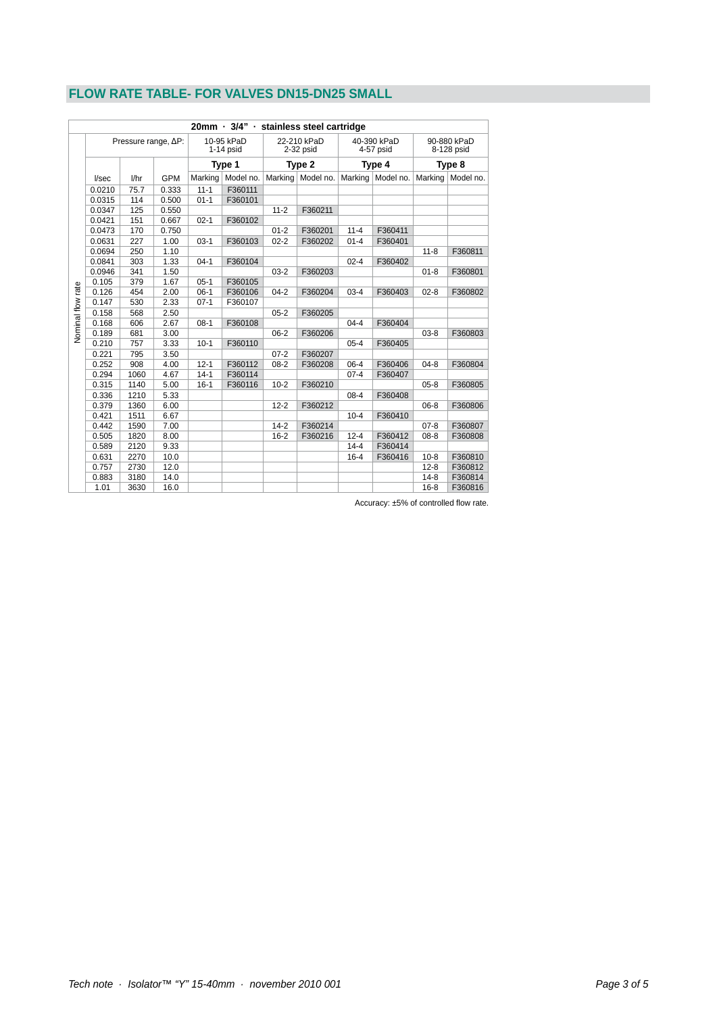# **FLOW RATE TABLE- FOR VALVES DN15-DN25 SMALL**

| 20mm · 3/4" · stainless steel cartridge |                              |      |            |                           |           |          |                            |                                    |                     |                                     |           |
|-----------------------------------------|------------------------------|------|------------|---------------------------|-----------|----------|----------------------------|------------------------------------|---------------------|-------------------------------------|-----------|
|                                         | Pressure range, $\Delta P$ : |      |            | 10-95 kPaD<br>$1-14$ psid |           |          | 22-210 kPaD<br>$2-32$ psid | 40-390 kPaD<br>4-57 psid<br>Type 4 |                     | 90-880 kPaD<br>8-128 psid<br>Type 8 |           |
|                                         |                              |      |            | Type 1                    |           | Type 2   |                            |                                    |                     |                                     |           |
|                                         | I/sec                        | 1/hr | <b>GPM</b> | Marking                   | Model no. |          | Marking   Model no.        |                                    | Marking   Model no. | Marking                             | Model no. |
|                                         | 0.0210                       | 75.7 | 0.333      | $11 - 1$                  | F360111   |          |                            |                                    |                     |                                     |           |
|                                         | 0.0315                       | 114  | 0.500      | $01 - 1$                  | F360101   |          |                            |                                    |                     |                                     |           |
|                                         | 0.0347                       | 125  | 0.550      |                           |           | $11 - 2$ | F360211                    |                                    |                     |                                     |           |
|                                         | 0.0421                       | 151  | 0.667      | $02 - 1$                  | F360102   |          |                            |                                    |                     |                                     |           |
|                                         | 0.0473                       | 170  | 0.750      |                           |           | $01 - 2$ | F360201                    | $11 - 4$                           | F360411             |                                     |           |
|                                         | 0.0631                       | 227  | 1.00       | $03-1$                    | F360103   | $02 - 2$ | F360202                    | $01 - 4$                           | F360401             |                                     |           |
|                                         | 0.0694                       | 250  | 1.10       |                           |           |          |                            |                                    |                     | $11 - 8$                            | F360811   |
|                                         | 0.0841                       | 303  | 1.33       | $04-1$                    | F360104   |          |                            | $02 - 4$                           | F360402             |                                     |           |
|                                         | 0.0946                       | 341  | 1.50       |                           |           | $03 - 2$ | F360203                    |                                    |                     | $01 - 8$                            | F360801   |
|                                         | 0.105                        | 379  | 1.67       | $05-1$                    | F360105   |          |                            |                                    |                     |                                     |           |
|                                         | 0.126                        | 454  | 2.00       | $06-1$                    | F360106   | $04 - 2$ | F360204                    | $03 - 4$                           | F360403             | $02 - 8$                            | F360802   |
|                                         | 0.147                        | 530  | 2.33       | $07-1$                    | F360107   |          |                            |                                    |                     |                                     |           |
|                                         | 0.158                        | 568  | 2.50       |                           |           | $05 - 2$ | F360205                    |                                    |                     |                                     |           |
|                                         | 0.168                        | 606  | 2.67       | $08-1$                    | F360108   |          |                            | $04 - 4$                           | F360404             |                                     |           |
| Nominal flow rate                       | 0.189                        | 681  | 3.00       |                           |           | $06 - 2$ | F360206                    |                                    |                     | $03 - 8$                            | F360803   |
|                                         | 0.210                        | 757  | 3.33       | $10 - 1$                  | F360110   |          |                            | $05 - 4$                           | F360405             |                                     |           |
|                                         | 0.221                        | 795  | 3.50       |                           |           | $07 - 2$ | F360207                    |                                    |                     |                                     |           |
|                                         | 0.252                        | 908  | 4.00       | $12 - 1$                  | F360112   | $08 - 2$ | F360208                    | $06 - 4$                           | F360406             | $04 - 8$                            | F360804   |
|                                         | 0.294                        | 1060 | 4.67       | $14-1$                    | F360114   |          |                            | $07 - 4$                           | F360407             |                                     |           |
|                                         | 0.315                        | 1140 | 5.00       | $16-1$                    | F360116   | $10-2$   | F360210                    |                                    |                     | $05 - 8$                            | F360805   |
|                                         | 0.336                        | 1210 | 5.33       |                           |           |          |                            | $08 - 4$                           | F360408             |                                     |           |
|                                         | 0.379                        | 1360 | 6.00       |                           |           | $12 - 2$ | F360212                    |                                    |                     | $06 - 8$                            | F360806   |
|                                         | 0.421                        | 1511 | 6.67       |                           |           |          |                            | $10 - 4$                           | F360410             |                                     |           |
|                                         | 0.442                        | 1590 | 7.00       |                           |           | $14 - 2$ | F360214                    |                                    |                     | $07 - 8$                            | F360807   |
|                                         | 0.505                        | 1820 | 8.00       |                           |           | $16 - 2$ | F360216                    | $12 - 4$                           | F360412             | $08 - 8$                            | F360808   |
|                                         | 0.589                        | 2120 | 9.33       |                           |           |          |                            | $14 - 4$                           | F360414             |                                     |           |
|                                         | 0.631                        | 2270 | 10.0       |                           |           |          |                            | $16 - 4$                           | F360416             | $10 - 8$                            | F360810   |
|                                         | 0.757                        | 2730 | 12.0       |                           |           |          |                            |                                    |                     | $12 - 8$                            | F360812   |
|                                         | 0.883                        | 3180 | 14.0       |                           |           |          |                            |                                    |                     | $14 - 8$                            | F360814   |
|                                         | 1.01                         | 3630 | 16.0       |                           |           |          |                            |                                    |                     | $16 - 8$                            | F360816   |

Accuracy: ±5% of controlled flow rate.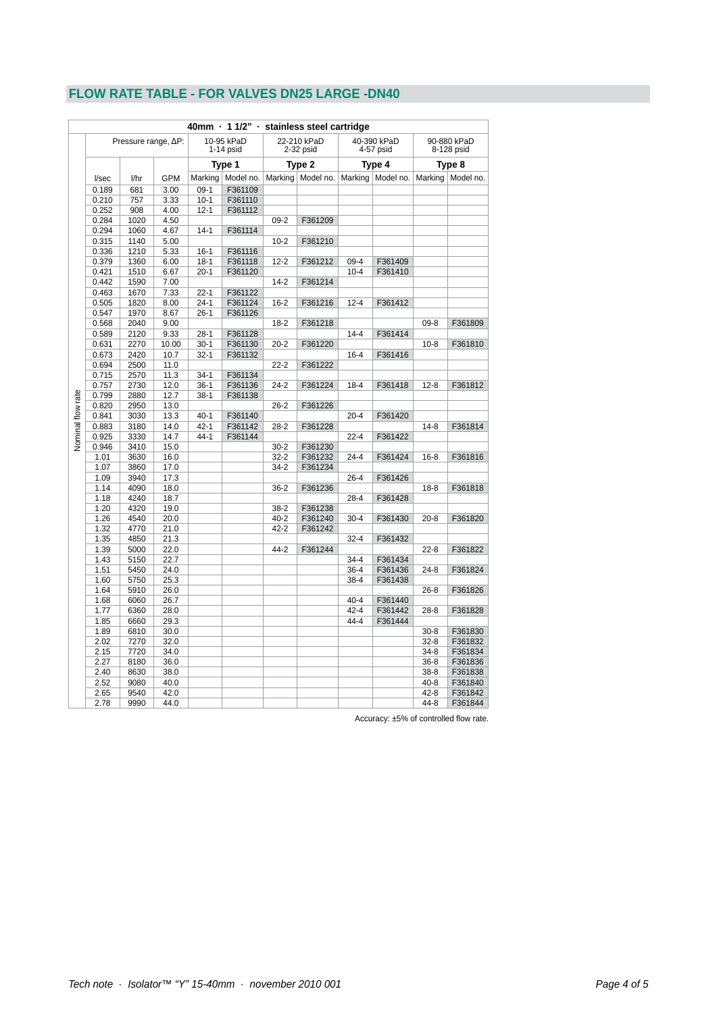# **FLOW RATE TABLE - FOR VALVES DN25 LARGE -DN40**

|                          |                              |              |              |                                     |                     |                            | 40mm · 1 1/2" · stainless steel cartridge |                          |                     |                           |           |
|--------------------------|------------------------------|--------------|--------------|-------------------------------------|---------------------|----------------------------|-------------------------------------------|--------------------------|---------------------|---------------------------|-----------|
|                          | Pressure range, $\Delta P$ : |              |              | 10-95 kPaD<br>$1-14$ psid<br>Type 1 |                     | 22-210 kPaD<br>$2-32$ psid |                                           | 40-390 kPaD<br>4-57 psid |                     | 90-880 kPaD<br>8-128 psid |           |
|                          |                              |              |              |                                     |                     | Type 2                     | Type 4                                    |                          | Type 8              |                           |           |
|                          | I/sec                        | 1/hr         | <b>GPM</b>   |                                     | Marking   Model no. | Marking                    | Model no.                                 |                          | Marking   Model no. | Marking                   | Model no. |
|                          | 0.189                        | 681          | 3.00         | $09-1$                              | F361109             |                            |                                           |                          |                     |                           |           |
|                          | 0.210                        | 757          | 3.33         | $10-1$                              | F361110             |                            |                                           |                          |                     |                           |           |
|                          | 0.252                        | 908          | 4.00         | $12 - 1$                            | F361112             |                            |                                           |                          |                     |                           |           |
|                          | 0.284                        | 1020         | 4.50         |                                     |                     | $09 - 2$                   | F361209                                   |                          |                     |                           |           |
|                          | 0.294                        | 1060         | 4.67         | $14 - 1$                            | F361114             |                            |                                           |                          |                     |                           |           |
|                          | 0.315                        | 1140         | 5.00         |                                     |                     | $10 - 2$                   | F361210                                   |                          |                     |                           |           |
|                          | 0.336                        | 1210         | 5.33         | $16 - 1$                            | F361116             |                            |                                           |                          |                     |                           |           |
|                          | 0.379                        | 1360         | 6.00         | $18-1$                              | F361118             | $12 - 2$                   | F361212                                   | $09-4$                   | F361409             |                           |           |
|                          | 0.421                        | 1510         | 6.67         | $20-1$                              | F361120             |                            |                                           | $10 - 4$                 | F361410             |                           |           |
|                          | 0.442                        | 1590         | 7.00         |                                     |                     | $14 - 2$                   | F361214                                   |                          |                     |                           |           |
|                          | 0.463                        | 1670         | 7.33         | $22 - 1$                            | F361122             |                            |                                           |                          |                     |                           |           |
|                          | 0.505                        | 1820         | 8.00         | $24 - 1$                            | F361124             | $16 - 2$                   | F361216                                   | $12 - 4$                 | F361412             |                           |           |
|                          | 0.547                        | 1970         | 8.67         | $26-1$                              | F361126             |                            |                                           |                          |                     |                           |           |
|                          | 0.568                        | 2040         | 9.00         |                                     |                     | $18 - 2$                   | F361218                                   |                          |                     | $09 - 8$                  | F361809   |
|                          | 0.589                        | 2120         | 9.33         | $28-1$                              | F361128             |                            |                                           | $14 - 4$                 | F361414             |                           |           |
|                          | 0.631                        | 2270         | 10.00        | $30-1$                              | F361130             | $20 - 2$                   | F361220                                   |                          |                     | $10 - 8$                  | F361810   |
|                          | 0.673                        | 2420         | 10.7         | $32 - 1$                            | F361132             |                            |                                           | $16 - 4$                 | F361416             |                           |           |
| <b>Vominal flow rate</b> | 0.694                        | 2500         | 11.0         |                                     |                     | $22 - 2$                   | F361222                                   |                          |                     |                           |           |
|                          | 0.715                        | 2570         | 11.3         | $34-1$                              | F361134             |                            |                                           |                          |                     |                           |           |
|                          | 0.757                        | 2730         | 12.0         | $36-1$                              | F361136             | $24 - 2$                   | F361224                                   | $18 - 4$                 | F361418             | $12 - 8$                  | F361812   |
|                          | 0.799                        | 2880         | 12.7         | $38-1$                              | F361138             |                            |                                           |                          |                     |                           |           |
|                          | 0.820                        | 2950         | 13.0         |                                     |                     | $26 - 2$                   | F361226                                   |                          |                     |                           |           |
|                          | 0.841                        | 3030         | 13.3         | $40 - 1$                            | F361140             |                            |                                           | $20 - 4$                 | F361420             |                           |           |
|                          | 0.883                        | 3180         | 14.0         | $42 - 1$                            | F361142             | $28 - 2$                   | F361228                                   |                          |                     | $14 - 8$                  | F361814   |
|                          | 0.925                        | 3330         | 14.7         | $44-1$                              | F361144             |                            |                                           | $22 - 4$                 | F361422             |                           |           |
|                          | 0.946                        | 3410         | 15.0         |                                     |                     | $30 - 2$                   | F361230                                   |                          |                     |                           |           |
|                          | 1.01                         | 3630         | 16.0         |                                     |                     | $32 - 2$                   | F361232                                   | $24 - 4$                 | F361424             | $16 - 8$                  | F361816   |
|                          | 1.07                         | 3860         | 17.0         |                                     |                     | $34 - 2$                   | F361234                                   |                          |                     |                           |           |
|                          | 1.09                         | 3940         | 17.3         |                                     |                     |                            |                                           | $26 - 4$                 | F361426             |                           |           |
|                          | 1.14                         | 4090         | 18.0         |                                     |                     | $36 - 2$                   | F361236                                   |                          |                     | $18 - 8$                  | F361818   |
|                          | 1.18                         | 4240         | 18.7         |                                     |                     |                            |                                           | $28 - 4$                 | F361428             |                           |           |
|                          | 1.20<br>1.26                 | 4320         | 19.0         |                                     |                     | $38 - 2$                   | F361238                                   | $30 - 4$                 |                     |                           |           |
|                          | 1.32                         | 4540<br>4770 | 20.0<br>21.0 |                                     |                     | $40 - 2$<br>$42 - 2$       | F361240                                   |                          | F361430             | $20 - 8$                  | F361820   |
|                          | 1.35                         | 4850         | 21.3         |                                     |                     |                            | F361242                                   | $32 - 4$                 | F361432             |                           |           |
|                          | 1.39                         | 5000         | 22.0         |                                     |                     | $44 - 2$                   | F361244                                   |                          |                     | $22 - 8$                  | F361822   |
|                          | 1.43                         | 5150         | 22.7         |                                     |                     |                            |                                           | $34 - 4$                 | F361434             |                           |           |
|                          | 1.51                         | 5450         | 24.0         |                                     |                     |                            |                                           | $36 - 4$                 | F361436             | $24 - 8$                  | F361824   |
|                          | 1.60                         | 5750         | 25.3         |                                     |                     |                            |                                           | $38 - 4$                 | F361438             |                           |           |
|                          | 1.64                         | 5910         | 26.0         |                                     |                     |                            |                                           |                          |                     | $26 - 8$                  | F361826   |
|                          | 1.68                         | 6060         | 26.7         |                                     |                     |                            |                                           | $40 - 4$                 | F361440             |                           |           |
|                          | 1.77                         | 6360         | 28.0         |                                     |                     |                            |                                           | $42 - 4$                 | F361442             | $28 - 8$                  | F361828   |
|                          | 1.85                         | 6660         | 29.3         |                                     |                     |                            |                                           | $44 - 4$                 | F361444             |                           |           |
|                          | 1.89                         | 6810         | 30.0         |                                     |                     |                            |                                           |                          |                     | $30 - 8$                  | F361830   |
|                          | 2.02                         | 7270         | 32.0         |                                     |                     |                            |                                           |                          |                     | $32-8$                    | F361832   |
|                          | 2.15                         | 7720         | 34.0         |                                     |                     |                            |                                           |                          |                     | 34-8                      | F361834   |
|                          | 2.27                         | 8180         | 36.0         |                                     |                     |                            |                                           |                          |                     | $36-8$                    | F361836   |
|                          | 2.40                         | 8630         | 38.0         |                                     |                     |                            |                                           |                          |                     | 38-8                      | F361838   |
|                          | 2.52                         | 9080         | 40.0         |                                     |                     |                            |                                           |                          |                     | $40 - 8$                  | F361840   |
|                          | 2.65                         | 9540         | 42.0         |                                     |                     |                            |                                           |                          |                     | 42-8                      | F361842   |
|                          | 2.78                         | 9990         | 44.0         |                                     |                     |                            |                                           |                          |                     | 44-8                      | F361844   |

Accuracy: ±5% of controlled flow rate.